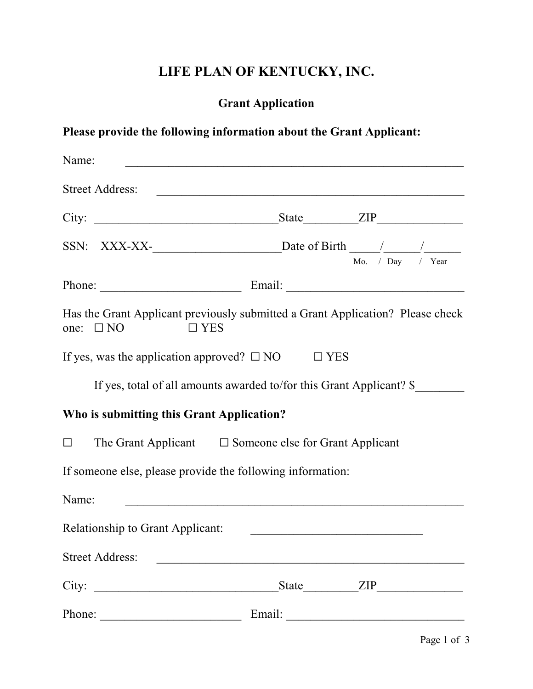# **LIFE PLAN OF KENTUCKY, INC.**

# **Grant Application**

# **Please provide the following information about the Grant Applicant:**

| Name:                                                                                                             |                                                                                                                      |                  |
|-------------------------------------------------------------------------------------------------------------------|----------------------------------------------------------------------------------------------------------------------|------------------|
| <b>Street Address:</b>                                                                                            | <u> 2000 - Jan Barat, margaret amerikan basar dan berasal dalam basa dalam basar dalam basar dalam basar dalam b</u> |                  |
|                                                                                                                   |                                                                                                                      | State <u>ZIP</u> |
| SSN: XXX-XX- $\_\_\_\_\_\_\_\_\$ Date of Birth $\_\_\_\_\_\_\_\_\_\_\_\_$                                         |                                                                                                                      | Mo. / Day / Year |
| Phone:                                                                                                            |                                                                                                                      |                  |
| Has the Grant Applicant previously submitted a Grant Application? Please check<br>$\Box$ YES<br>$\Box$ NO<br>one: |                                                                                                                      |                  |
| If yes, was the application approved? $\square$ NO                                                                | $\Box$ YES                                                                                                           |                  |
| If yes, total of all amounts awarded to/for this Grant Applicant? \$                                              |                                                                                                                      |                  |
| Who is submitting this Grant Application?                                                                         |                                                                                                                      |                  |
| The Grant Applicant $\square$ Someone else for Grant Applicant<br>$\Box$                                          |                                                                                                                      |                  |
| If someone else, please provide the following information:                                                        |                                                                                                                      |                  |
| Name:                                                                                                             |                                                                                                                      |                  |
| <b>Relationship to Grant Applicant:</b>                                                                           | <u> 1990 - Johann Barbara, martin amerikan basar da</u>                                                              |                  |
| <b>Street Address:</b>                                                                                            |                                                                                                                      |                  |
| City:                                                                                                             |                                                                                                                      |                  |
|                                                                                                                   |                                                                                                                      | Email:           |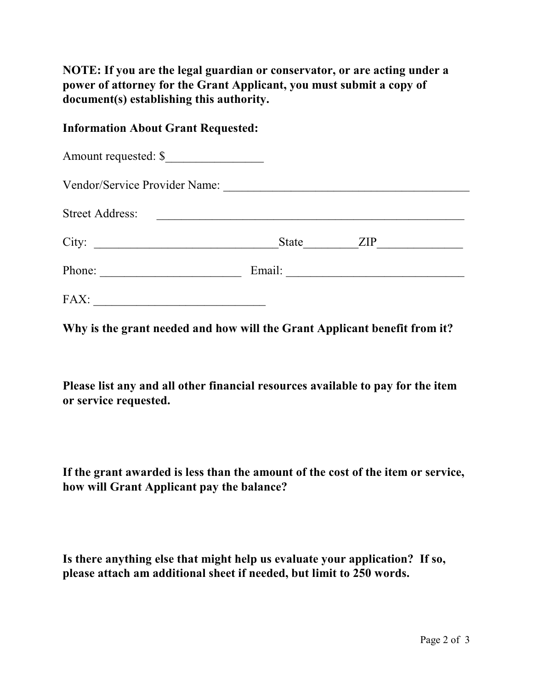**NOTE: If you are the legal guardian or conservator, or are acting under a power of attorney for the Grant Applicant, you must submit a copy of document(s) establishing this authority.**

### **Information About Grant Requested:**

| Amount requested: \$                                                                                                           |       |     |  |
|--------------------------------------------------------------------------------------------------------------------------------|-------|-----|--|
| Vendor/Service Provider Name:                                                                                                  |       |     |  |
| <b>Street Address:</b>                                                                                                         |       |     |  |
| City:<br><u> 1980 - Jan Barbara Barat, martin da basar da basar da basar da basar da basar da basar da basar da basar da b</u> | State | ZIP |  |
| Phone:                                                                                                                         |       |     |  |
| FAX:                                                                                                                           |       |     |  |

**Why is the grant needed and how will the Grant Applicant benefit from it?**

**Please list any and all other financial resources available to pay for the item or service requested.**

**If the grant awarded is less than the amount of the cost of the item or service, how will Grant Applicant pay the balance?**

**Is there anything else that might help us evaluate your application? If so, please attach am additional sheet if needed, but limit to 250 words.**